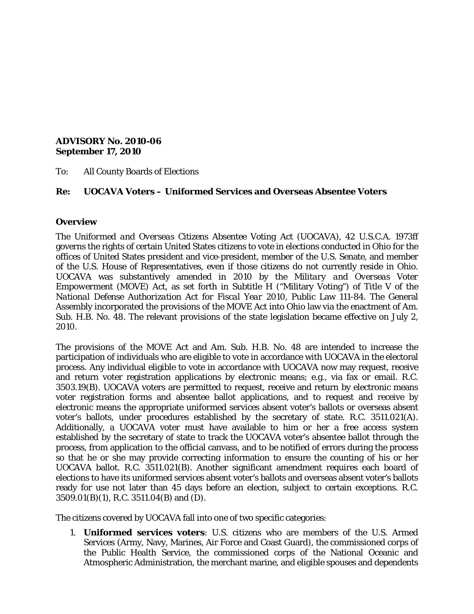#### **ADVISORY No. 2010-06 September 17, 2010**

To: All County Boards of Elections

### **Re: UOCAVA Voters – Uniformed Services and Overseas Absentee Voters**

#### **Overview**

The *Uniformed and Overseas Citizens Absentee Voting Act* (UOCAVA), 42 U.S.C.A. 1973ff governs the rights of certain United States citizens to vote in elections conducted in Ohio for the offices of United States president and vice-president, member of the U.S. Senate, and member of the U.S. House of Representatives, even if those citizens do not currently reside in Ohio. UOCAVA was substantively amended in 2010 by the *Military and Overseas Voter Empowerment* (MOVE) *Act,* as set forth in Subtitle H ("Military Voting") of Title V of the *National Defense Authorization Act for Fiscal Year 2010,* Public Law 111-84. The General Assembly incorporated the provisions of the MOVE Act into Ohio law via the enactment of Am. Sub. H.B. No. 48. The relevant provisions of the state legislation became effective on July 2, 2010.

The provisions of the MOVE Act and Am. Sub. H.B. No. 48 are intended to increase the participation of individuals who are eligible to vote in accordance with UOCAVA in the electoral process. Any individual eligible to vote in accordance with UOCAVA now may request, receive and return voter registration applications by electronic means; e.g., via fax or email. R.C. 3503.19(B). UOCAVA voters are permitted to request, receive and return by electronic means voter registration forms and absentee ballot applications, and to request and receive by electronic means the appropriate uniformed services absent voter's ballots or overseas absent voter's ballots, under procedures established by the secretary of state. R.C. 3511.021(A). Additionally, a UOCAVA voter must have available to him or her a free access system established by the secretary of state to track the UOCAVA voter's absentee ballot through the process, from application to the official canvass, and to be notified of errors during the process so that he or she may provide correcting information to ensure the counting of his or her UOCAVA ballot. R.C. 3511.021(B). Another significant amendment requires each board of elections to have its uniformed services absent voter's ballots and overseas absent voter's ballots ready for use not later than 45 days before an election, subject to certain exceptions. R.C. 3509.01(B)(1), R.C. 3511.04(B) and (D).

The citizens covered by UOCAVA fall into one of two specific categories:

1. **Uniformed services voters**: U.S. citizens who are members of the U.S. Armed Services (Army, Navy, Marines, Air Force and Coast Guard), the commissioned corps of the Public Health Service, the commissioned corps of the National Oceanic and Atmospheric Administration, the merchant marine, and eligible spouses and dependents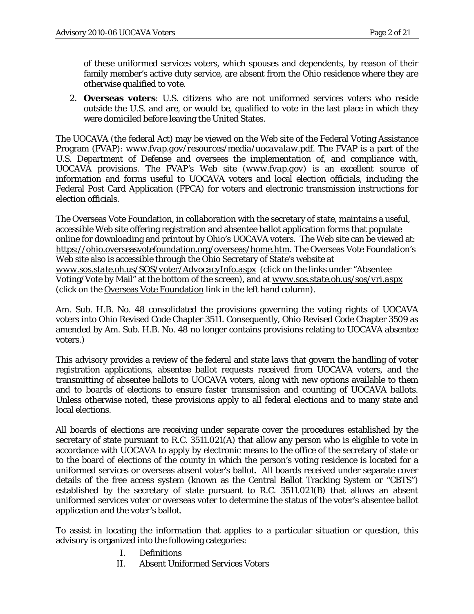of these uniformed services voters, which spouses and dependents, by reason of their family member's active duty service, are absent from the Ohio residence where they are otherwise qualified to vote.

2. **Overseas voters**: U.S. citizens who are not uniformed services voters who reside outside the U.S. and are, or would be, qualified to vote in the last place in which they were domiciled before leaving the United States.

The UOCAVA (the federal Act) may be viewed on the Web site of the Federal Voting Assistance Program (FVAP): *[www.fvap.gov/resources/media/uocavalaw.pdf](http://www.fvap.gov/resources/media/uocavalaw.pdf)*. The FVAP is a part of the U.S. Department of Defense and oversees the implementation of, and compliance with, UOCAVA provisions. The FVAP's Web site (*[www.fvap.gov](http://www.fvap.gov/)*) is an excellent source of information and forms useful to UOCAVA voters and local election officials, including the Federal Post Card Application (FPCA) for voters and electronic transmission instructions for election officials.

The Overseas Vote Foundation, in collaboration with the secretary of state, maintains a useful, accessible Web site offering registration and absentee ballot application forms that populate online for downloading and printout by Ohio's UOCAVA voters. The Web site can be viewed at: [https://ohio.overseasvotefoundation.org/overseas/home.htm.](https://ohio.overseasvotefoundation.org/overseas/home.htm) The Overseas Vote Foundation's Web site also is accessible through the Ohio Secretary of State's website at *[www.sos.state.oh.us/SOS/voter/AdvocacyInfo.aspx](http://www.sos.state.oh.us/SOS/voter/AdvocacyInfo.aspx)* (click on the links under "Absentee Voting/Vote by Mail" at the bottom of the screen), and at *[www.sos.state.oh.us/sos/vri.aspx](http://www.sos.state.oh.us/sos/vri.aspx)* (click on the Overseas Vote [Foundation](https://ohio.overseasvotefoundation.org/overseas/home.htm) link in the left hand column).

Am. Sub. H.B. No. 48 consolidated the provisions governing the voting rights of UOCAVA voters into Ohio Revised Code Chapter 3511. Consequently, Ohio Revised Code Chapter 3509 as amended by Am. Sub. H.B. No. 48 no longer contains provisions relating to UOCAVA absentee voters.)

This advisory provides a review of the federal and state laws that govern the handling of voter registration applications, absentee ballot requests received from UOCAVA voters, and the transmitting of absentee ballots to UOCAVA voters, along with new options available to them and to boards of elections to ensure faster transmission and counting of UOCAVA ballots. Unless otherwise noted, these provisions apply to all federal elections and to many state and local elections.

All boards of elections are receiving under separate cover the procedures established by the secretary of state pursuant to R.C. 3511.021(A) that allow any person who is eligible to vote in accordance with UOCAVA to apply by electronic means to the office of the secretary of state or to the board of elections of the county in which the person's voting residence is located for a uniformed services or overseas absent voter's ballot. All boards received under separate cover details of the free access system (known as the Central Ballot Tracking System or "CBTS") established by the secretary of state pursuant to R.C. 3511.021(B) that allows an absent uniformed services voter or overseas voter to determine the status of the voter's absentee ballot application and the voter's ballot.

To assist in locating the information that applies to a particular situation or question, this advisory is organized into the following categories:

- I. Definitions
- II. Absent Uniformed Services Voters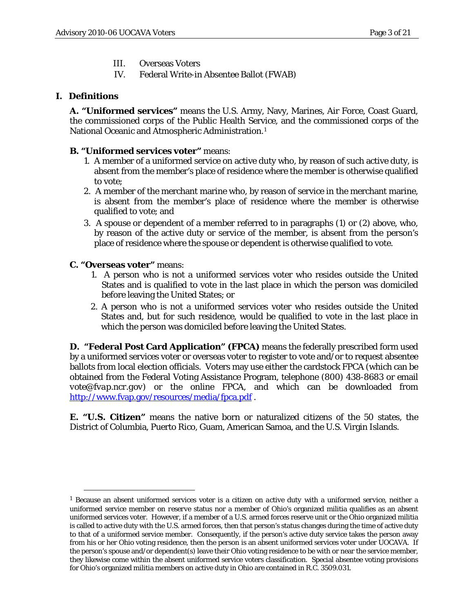- III. Overseas Voters
- IV. Federal Write-in Absentee Ballot (FWAB)

## **I. Definitions**

**A. "Uniformed services"** means the U.S. Army, Navy, Marines, Air Force, Coast Guard, the commissioned corps of the Public Health Service, and the commissioned corps of the National Oceanic and Atmospheric Administration.<sup>[1](#page-2-0)</sup>

## **B. "Uniformed services voter"** means:

- 1. A member of a uniformed service on active duty who, by reason of such active duty, is absent from the member's place of residence where the member is otherwise qualified to vote;
- 2. A member of the merchant marine who, by reason of service in the merchant marine, is absent from the member's place of residence where the member is otherwise qualified to vote; and
- 3. A spouse or dependent of a member referred to in paragraphs (1) or (2) above, who, by reason of the active duty or service of the member, is absent from the person's place of residence where the spouse or dependent is otherwise qualified to vote.

### **C. "Overseas voter"** means:

- 1. A person who is not a uniformed services voter who resides outside the United States and is qualified to vote in the last place in which the person was domiciled before leaving the United States; or
- 2. A person who is not a uniformed services voter who resides outside the United States and, but for such residence, would be qualified to vote in the last place in which the person was domiciled before leaving the United States.

**D. "Federal Post Card Application" (FPCA)** means the federally prescribed form used by a uniformed services voter or overseas voter to register to vote and/or to request absentee ballots from local election officials. Voters may use either the cardstock FPCA (which can be obtained from the Federal Voting Assistance Program, telephone (800) 438-8683 or email *[vote@fvap.ncr.gov](mailto:vote@fvap.ncr.gov)*) or the online FPCA, and which can be downloaded from <http://www.fvap.gov/resources/media/fpca.pdf> .

**E. "U.S. Citizen"** means the native born or naturalized citizens of the 50 states, the District of Columbia, Puerto Rico, Guam, American Samoa, and the U.S. Virgin Islands.

<span id="page-2-0"></span> <sup>1</sup> Because an absent uniformed services voter is a citizen on *active duty* with a *uniformed service*, neither a uniformed service member on *reserve* status nor a member of Ohio's organized militia qualifies as an absent uniformed services voter. However, if a member of a U.S. armed forces reserve unit or the Ohio organized militia is called to active duty with the U.S. armed forces, then that person's status changes during the time of active duty to that of a uniformed service member. Consequently, if the person's active duty service takes the person away from his or her Ohio voting residence, then the person is an absent uniformed services voter under UOCAVA. If the person's spouse and/or dependent(s) leave their Ohio voting residence to be with or near the service member, they likewise come within the absent uniformed service voters classification. Special absentee voting provisions for Ohio's organized militia members on active duty in Ohio are contained in R.C. 3509.031.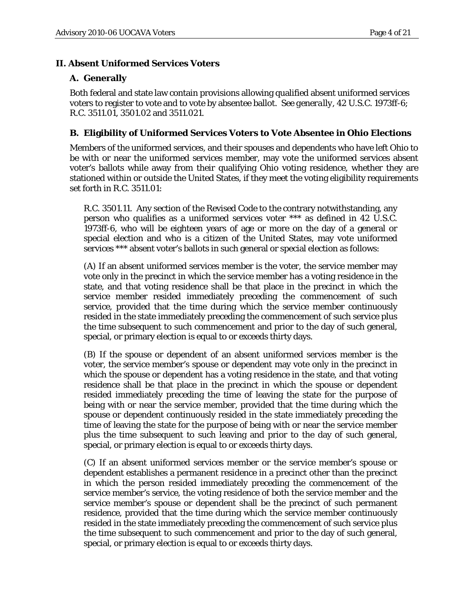#### **II. Absent Uniformed Services Voters**

#### **A. Generally**

Both federal and state law contain provisions allowing qualified absent uniformed services voters to register to vote and to vote by absentee ballot. *See generally*, 42 U.S.C. 1973ff-6; R.C. 3511.01, 3501.02 and 3511.021.

#### **B. Eligibility of Uniformed Services Voters to Vote Absentee in Ohio Elections**

Members of the uniformed services, and their spouses and dependents who have left Ohio to be with or near the uniformed services member, may vote the uniformed services absent voter's ballots while away from their qualifying Ohio voting residence, whether they are stationed within or outside the United States, if they meet the voting eligibility requirements set forth in R.C. 3511.01:

R.C. 3501.11. Any section of the Revised Code to the contrary notwithstanding, any person who qualifies as a uniformed services voter \*\*\* as defined in 42 U.S.C. 1973ff-6, who will be eighteen years of age or more on the day of a general or special election and who is a citizen of the United States, may vote uniformed services \*\*\* absent voter's ballots in such general or special election as follows:

(A) If an absent uniformed services member is the voter, the service member may vote only in the precinct in which the service member has a voting residence in the state, and that voting residence shall be that place in the precinct in which the service member resided immediately preceding the commencement of such service, provided that the time during which the service member continuously resided in the state immediately preceding the commencement of such service plus the time subsequent to such commencement and prior to the day of such general, special, or primary election is equal to or exceeds thirty days.

(B) If the spouse or dependent of an absent uniformed services member is the voter, the service member's spouse or dependent may vote only in the precinct in which the spouse or dependent has a voting residence in the state, and that voting residence shall be that place in the precinct in which the spouse or dependent resided immediately preceding the time of leaving the state for the purpose of being with or near the service member, provided that the time during which the spouse or dependent continuously resided in the state immediately preceding the time of leaving the state for the purpose of being with or near the service member plus the time subsequent to such leaving and prior to the day of such general, special, or primary election is equal to or exceeds thirty days.

(C) If an absent uniformed services member or the service member's spouse or dependent establishes a permanent residence in a precinct other than the precinct in which the person resided immediately preceding the commencement of the service member's service, the voting residence of both the service member and the service member's spouse or dependent shall be the precinct of such permanent residence, provided that the time during which the service member continuously resided in the state immediately preceding the commencement of such service plus the time subsequent to such commencement and prior to the day of such general, special, or primary election is equal to or exceeds thirty days.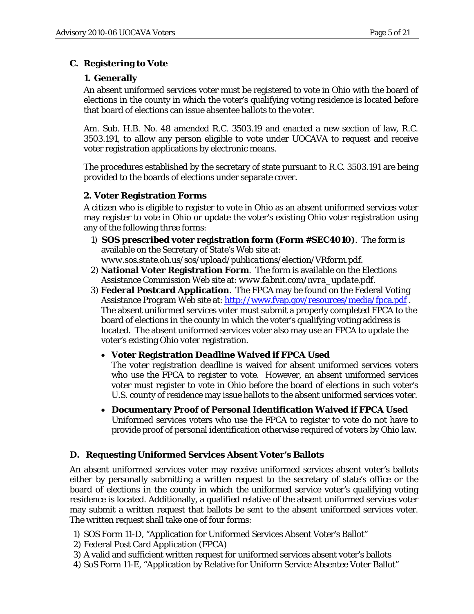# **C. Registering to Vote**

# **1. Generally**

An absent uniformed services voter must be registered to vote in Ohio with the board of elections in the county in which the voter's qualifying voting residence is located before that board of elections can issue absentee ballots to the voter.

Am. Sub. H.B. No. 48 amended R.C. 3503.19 and enacted a new section of law, R.C. 3503.191, to allow any person eligible to vote under UOCAVA to request and receive voter registration applications by electronic means.

The procedures established by the secretary of state pursuant to R.C. 3503.191 are being provided to the boards of elections under separate cover.

## **2. Voter Registration Forms**

A citizen who is eligible to register to vote in Ohio as an absent uniformed services voter may register to vote in Ohio or update the voter's existing Ohio voter registration using any of the following three forms:

- 1) **SOS prescribed voter registration form (Form #SEC4010)**. The form is available on the Secretary of State's Web site at: *www.sos.state.oh.us/sos/upload/publications/election/VRform.pdf*.
- 2) **National Voter Registration Form**. The form is available on the Elections Assistance Commission Web site at: *www.fabnit.com/nvra\_update.pdf*.
- 3) **Federal Postcard Application**. The FPCA may be found on the Federal Voting Assistance Program Web site at: <http://www.fvap.gov/resources/media/fpca.pdf>. The absent uniformed services voter must submit a properly completed FPCA to the board of elections in the county in which the voter's qualifying voting address is located. The absent uniformed services voter also may use an FPCA to update the voter's existing Ohio voter registration.
	- **Voter Registration Deadline Waived if FPCA Used**

The voter registration deadline is waived for absent uniformed services voters who use the FPCA to register to vote. However, an absent uniformed services voter must register to vote in Ohio *before* the board of elections in such voter's U.S. county of residence may issue ballots to the absent uniformed services voter.

• **Documentary Proof of Personal Identification Waived if FPCA Used** Uniformed services voters who use the FPCA to register to vote do not have to provide proof of personal identification otherwise required of voters by Ohio law.

# **D. Requesting Uniformed Services Absent Voter's Ballots**

An absent uniformed services voter may receive uniformed services absent voter's ballots either by personally submitting a written request to the secretary of state's office or the board of elections in the county in which the uniformed service voter's qualifying voting residence is located. Additionally, a qualified relative of the absent uniformed services voter may submit a written request that ballots be sent to the absent uniformed services voter. The written request shall take one of four forms:

- 1) SOS Form 11-D, "Application for Uniformed Services Absent Voter's Ballot"
- 2) Federal Post Card Application (FPCA)
- 3) A valid and sufficient written request for uniformed services absent voter's ballots
- 4) SoS Form 11-E, "Application by Relative for Uniform Service Absentee Voter Ballot"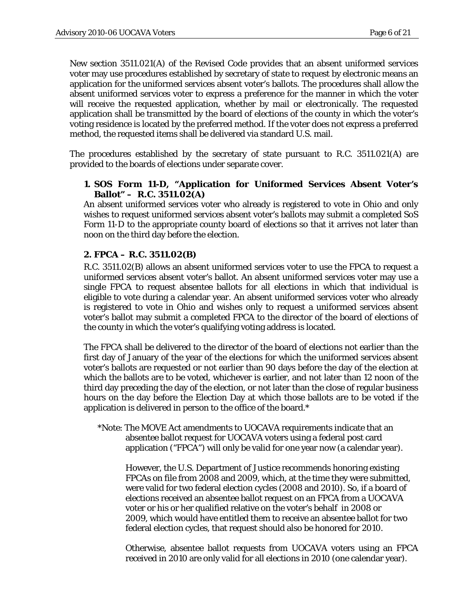New section 3511.021(A) of the Revised Code provides that an absent uniformed services voter may use procedures established by secretary of state to request by electronic means an application for the uniformed services absent voter's ballots. The procedures shall allow the absent uniformed services voter to express a preference for the manner in which the voter will receive the requested application, whether by mail or electronically. The requested application shall be transmitted by the board of elections of the county in which the voter's voting residence is located by the preferred method. If the voter does not express a preferred method, the requested items shall be delivered via standard U.S. mail.

The procedures established by the secretary of state pursuant to R.C. 3511.021(A) are provided to the boards of elections under separate cover.

#### **1. SOS Form 11-D, "Application for Uniformed Services Absent Voter's Ballot" – R.C. 3511.02(A)**

An absent uniformed services voter who already is registered to vote in Ohio and only wishes to request uniformed services absent voter's ballots may submit a completed SoS Form 11-D to the appropriate county board of elections so that it arrives not later than noon on the third day before the election.

#### **2. FPCA – R.C. 3511.02(B)**

R.C. 3511.02(B) allows an absent uniformed services voter to use the FPCA to request a uniformed services absent voter's ballot. An absent uniformed services voter may use a single FPCA to request absentee ballots for all elections in which that individual is eligible to vote during a calendar year. An absent uniformed services voter who already is registered to vote in Ohio and wishes only to request a uniformed services absent voter's ballot may submit a completed FPCA to the director of the board of elections of the county in which the voter's qualifying voting address is located.

The FPCA shall be delivered to the director of the board of elections not earlier than the first day of January of the year of the elections for which the uniformed services absent voter's ballots are requested or not earlier than 90 days before the day of the election at which the ballots are to be voted, whichever is earlier, and not later than 12 noon of the third day preceding the day of the election, or not later than the close of regular business hours on the day before the Election Day at which those ballots are to be voted if the application is delivered in person to the office of the board.\*

\*Note: The MOVE Act amendments to UOCAVA requirements indicate that an absentee ballot request for UOCAVA voters using a federal post card application ("FPCA") will only be valid for one year now (a calendar year).

However, the U.S. Department of Justice recommends honoring existing FPCAs on file from 2008 and 2009, which, at the time they were submitted, were valid for two federal election cycles (2008 and 2010). So, if a board of elections received an absentee ballot request on an FPCA from a UOCAVA voter or his or her qualified relative on the voter's behalf in 2008 or 2009, which would have entitled them to receive an absentee ballot for two federal election cycles, that request should also be honored for 2010.

Otherwise, absentee ballot requests from UOCAVA voters using an FPCA received in 2010 are only valid for all elections in 2010 (one calendar year).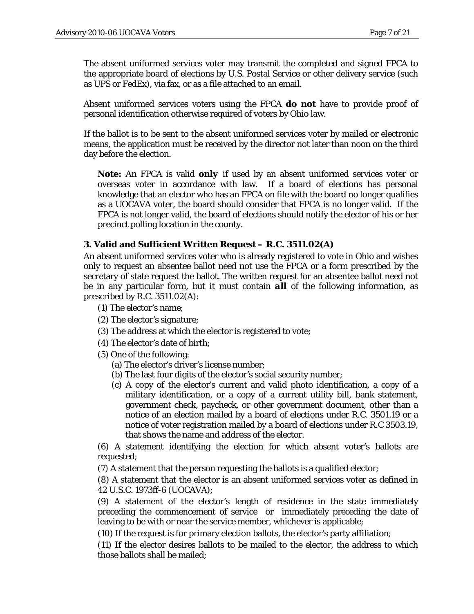The absent uniformed services voter may transmit the completed and signed FPCA to the appropriate board of elections by U.S. Postal Service or other delivery service (such as UPS or FedEx), via fax, or as a file attached to an email.

Absent uniformed services voters using the FPCA **do not** have to provide proof of personal identification otherwise required of voters by Ohio law.

If the ballot is to be sent to the absent uniformed services voter by mailed or electronic means, the application must be received by the director not later than noon on the third day before the election.

**Note:** An FPCA is valid *only* if used by an absent uniformed services voter or overseas voter in accordance with law. If a board of elections has personal knowledge that an elector who has an FPCA on file with the board no longer qualifies as a UOCAVA voter, the board should consider that FPCA is no longer valid. If the FPCA is not longer valid, the board of elections should notify the elector of his or her precinct polling location in the county.

#### **3. Valid and Sufficient Written Request – R.C. 3511.02(A)**

An absent uniformed services voter who is already registered to vote in Ohio and wishes only to request an absentee ballot need not use the FPCA or a form prescribed by the secretary of state request the ballot. The written request for an absentee ballot need not be in any particular form, but it must contain *all* of the following information, as prescribed by R.C. 3511.02(A):

- (1) The elector's name;
- (2) The elector's signature;
- (3) The address at which the elector is registered to vote;
- (4) The elector's date of birth;
- (5) One of the following:
	- (a) The elector's driver's license number;
	- (b) The last four digits of the elector's social security number;
	- (c) A copy of the elector's current and valid photo identification, a copy of a military identification, or a copy of a current utility bill, bank statement, government check, paycheck, or other government document, other than a notice of an election mailed by a board of elections under R.C. 3501.19 or a notice of voter registration mailed by a board of elections under R.C 3503.19, that shows the name and address of the elector.

(6) A statement identifying the election for which absent voter's ballots are requested;

(7) A statement that the person requesting the ballots is a qualified elector;

(8) A statement that the elector is an absent uniformed services voter as defined in 42 U.S.C. 1973ff-6 (UOCAVA);

(9) A statement of the elector's length of residence in the state immediately preceding the commencement of service or immediately preceding the date of leaving to be with or near the service member, whichever is applicable;

(10) If the request is for primary election ballots, the elector's party affiliation;

(11) If the elector desires ballots to be mailed to the elector, the address to which those ballots shall be mailed;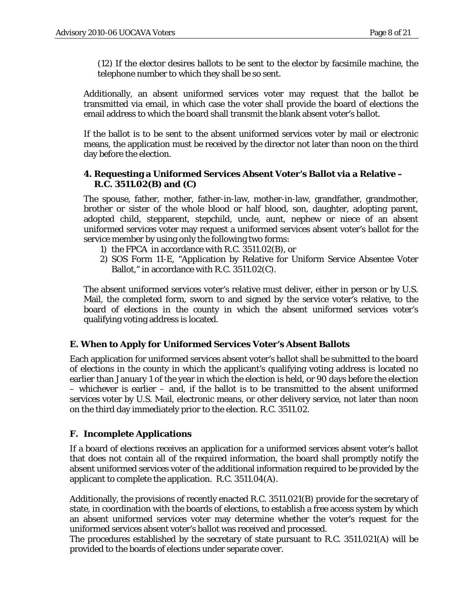(12) If the elector desires ballots to be sent to the elector by facsimile machine, the telephone number to which they shall be so sent.

Additionally, an absent uniformed services voter may request that the ballot be transmitted via email, in which case the voter shall provide the board of elections the email address to which the board shall transmit the blank absent voter's ballot.

If the ballot is to be sent to the absent uniformed services voter by mail or electronic means, the application must be received by the director not later than noon on the third day before the election.

#### **4. Requesting a Uniformed Services Absent Voter's Ballot via a Relative – R.C. 3511.02(B) and (C)**

The spouse, father, mother, father-in-law, mother-in-law, grandfather, grandmother, brother or sister of the whole blood or half blood, son, daughter, adopting parent, adopted child, stepparent, stepchild, uncle, aunt, nephew or niece of an absent uniformed services voter may request a uniformed services absent voter's ballot for the service member by using only the following two forms:

- 1) the FPCA in accordance with R.C. 3511.02(B), or
- 2) SOS Form 11-E, "Application by Relative for Uniform Service Absentee Voter Ballot," in accordance with R.C. 3511.02(C).

The absent uniformed services voter's relative must deliver, either in person or by U.S. Mail, the completed form, sworn to and signed by the service voter's relative, to the board of elections in the county in which the absent uniformed services voter's qualifying voting address is located.

#### **E. When to Apply for Uniformed Services Voter's Absent Ballots**

Each application for uniformed services absent voter's ballot shall be submitted to the board of elections in the county in which the applicant's qualifying voting address is located no earlier than January 1 of the year in which the election is held, or 90 days before the election – whichever is earlier – and, if the ballot is to be transmitted to the absent uniformed services voter by U.S. Mail, electronic means, or other delivery service, not later than noon on the third day immediately prior to the election. R.C. 3511.02.

#### **F. Incomplete Applications**

If a board of elections receives an application for a uniformed services absent voter's ballot that does not contain all of the required information, the board shall promptly notify the absent uniformed services voter of the additional information required to be provided by the applicant to complete the application. R.C. 3511.04(A).

Additionally, the provisions of recently enacted R.C. 3511.021(B) provide for the secretary of state, in coordination with the boards of elections, to establish a free access system by which an absent uniformed services voter may determine whether the voter's request for the uniformed services absent voter's ballot was received and processed.

The procedures established by the secretary of state pursuant to R.C. 3511.021(A) will be provided to the boards of elections under separate cover.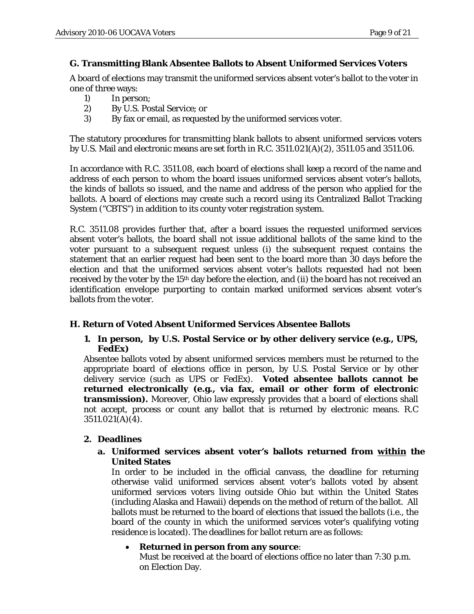## **G. Transmitting Blank Absentee Ballots to Absent Uniformed Services Voters**

A board of elections may transmit the uniformed services absent voter's ballot to the voter in one of three ways:

- 1) In person;
- 2) By U.S. Postal Service; or
- 3) By fax or email, as requested by the uniformed services voter.

The statutory procedures for transmitting blank ballots to absent uniformed services voters by U.S. Mail and electronic means are set forth in R.C. 3511.021(A)(2), 3511.05 and 3511.06.

In accordance with R.C. 3511.08, each board of elections shall keep a record of the name and address of each person to whom the board issues uniformed services absent voter's ballots, the kinds of ballots so issued, and the name and address of the person who applied for the ballots. A board of elections may create such a record using its Centralized Ballot Tracking System ("CBTS") in addition to its county voter registration system.

R.C. 3511.08 provides further that, after a board issues the requested uniformed services absent voter's ballots, the board shall not issue additional ballots of the same kind to the voter pursuant to a subsequent request *unless* (i) the subsequent request contains the statement that an earlier request had been sent to the board more than 30 days before the election and that the uniformed services absent voter's ballots requested had not been received by the voter by the 15<sup>th</sup> day before the election, and (ii) the board has not received an identification envelope purporting to contain marked uniformed services absent voter's ballots from the voter.

## **H. Return of Voted Absent Uniformed Services Absentee Ballots**

#### **1. In person, by U.S. Postal Service or by other delivery service (e.g., UPS, FedEx)**

Absentee ballots voted by absent uniformed services members must be returned to the appropriate board of elections office in person, by U.S. Postal Service or by other delivery service (such as UPS or FedEx). **Voted absentee ballots cannot be returned electronically (e.g., via fax, email or other form of electronic transmission).** Moreover, Ohio law expressly provides that a board of elections shall not accept, process or count any ballot that is returned by electronic means. R.C 3511.021(A)(4).

## **2. Deadlines**

#### **a. Uniformed services absent voter's ballots returned from within the United States**

In order to be included in the official canvass, the deadline for returning otherwise valid uniformed services absent voter's ballots voted by absent uniformed services voters living outside Ohio but within the United States (including Alaska and Hawaii) depends on the method of return of the ballot. All ballots must be returned to the board of elections that issued the ballots (i.e., the board of the county in which the uniformed services voter's qualifying voting residence is located). The deadlines for ballot return are as follows:

#### • **Returned in person from any source**:

Must be received at the board of elections office no later than 7:30 p.m. on Election Day.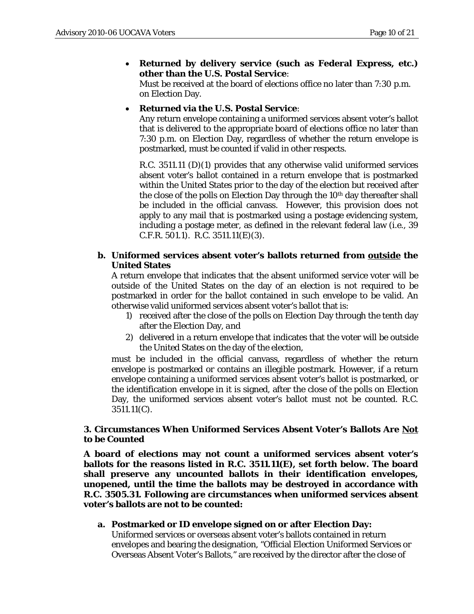### • **Returned by delivery service (such as Federal Express, etc.) other than the U.S. Postal Service**:

Must be received at the board of elections office no later than 7:30 p.m. on Election Day.

### • **Returned via the U.S. Postal Service**:

Any return envelope containing a uniformed services absent voter's ballot that is delivered to the appropriate board of elections office no later than 7:30 p.m. on Election Day, regardless of whether the return envelope is postmarked, must be counted if valid in other respects.

R.C. 3511.11 (D)(1) provides that any otherwise valid uniformed services absent voter's ballot contained in a return envelope that is postmarked within the United States prior to the day of the election but received after the close of the polls on Election Day through the 10<sup>th</sup> day thereafter shall be included in the official canvass. However, this provision does not apply to any mail that is postmarked using a postage evidencing system, including a postage meter, as defined in the relevant federal law (i.e., 39 C.F.R. 501.1). R.C. 3511.11(E)(3).

### **b. Uniformed services absent voter's ballots returned from outside the United States**

A return envelope that indicates that the absent uniformed service voter will be outside of the United States on the day of an election is not required to be postmarked in order for the ballot contained in such envelope to be valid. An otherwise valid uniformed services absent voter's ballot that is:

- 1) received after the close of the polls on Election Day through the tenth day after the Election Day, *and*
- 2) delivered in a return envelope that indicates that the voter will be outside the United States on the day of the election,

must be included in the official canvass, regardless of whether the return envelope is postmarked or contains an illegible postmark. However, if a return envelope containing a uniformed services absent voter's ballot is postmarked, or the identification envelope in it is signed, after the close of the polls on Election Day, the uniformed services absent voter's ballot must not be counted. R.C. 3511.11(C).

### **3. Circumstances When Uniformed Services Absent Voter's Ballots Are Not to be Counted**

**A board of elections may not count a uniformed services absent voter's ballots for the reasons listed in R.C. 3511.11(E), set forth below. The board shall preserve any uncounted ballots in their identification envelopes, unopened, until the time the ballots may be destroyed in accordance with R.C. 3505.31. Following are circumstances when uniformed services absent voter's ballots are not to be counted:**

**a. Postmarked or ID envelope signed on or after Election Day:**  Uniformed services or overseas absent voter's ballots contained in return envelopes and bearing the designation, "Official Election Uniformed Services or Overseas Absent Voter's Ballots," are received by the director after the close of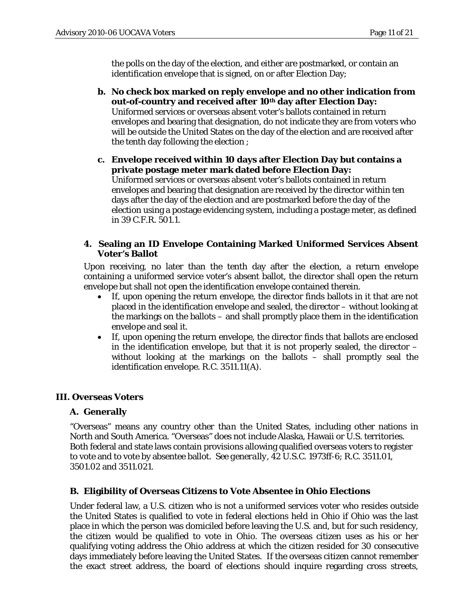the polls on the day of the election, and either are postmarked, or contain an identification envelope that is signed, on or after Election Day;

**b. No check box marked on reply envelope and no other indication from out-of-country and received after 10th day after Election Day:**  Uniformed services or overseas absent voter's ballots contained in return envelopes and bearing that designation, do not indicate they are from voters who will be outside the United States on the day of the election and are received after the tenth day following the election ;

**c. Envelope received within 10 days after Election Day but contains a private postage meter mark dated before Election Day:**  Uniformed services or overseas absent voter's ballots contained in return envelopes and bearing that designation are received by the director within ten days after the day of the election and are postmarked before the day of the election using a postage evidencing system, including a postage meter, as defined in 39 C.F.R. 501.1.

#### **4. Sealing an ID Envelope Containing Marked Uniformed Services Absent Voter's Ballot**

Upon receiving, no later than the tenth day after the election, a return envelope containing a uniformed service voter's absent ballot, the director shall open the return envelope but shall not open the identification envelope contained therein.

- If, upon opening the return envelope, the director finds ballots in it that are not placed in the identification envelope and sealed, the director – without looking at the markings on the ballots – and shall promptly place them in the identification envelope and seal it.
- If, upon opening the return envelope, the director finds that ballots are enclosed in the identification envelope, but that it is not properly sealed, the director – without looking at the markings on the ballots – shall promptly seal the identification envelope. R.C. 3511.11(A).

## **III. Overseas Voters**

## **A. Generally**

"Overseas" means any country *other than* the United States, including other nations in North and South America. "Overseas" *does not include* Alaska, Hawaii or U.S. territories. Both federal and state laws contain provisions allowing qualified overseas voters to register to vote and to vote by absentee ballot. *See generally*, 42 U.S.C. 1973ff-6; R.C. 3511.01, 3501.02 and 3511.021.

#### **B. Eligibility of Overseas Citizens to Vote Absentee in Ohio Elections**

Under federal law, a U.S. citizen who is not a uniformed services voter who resides outside the United States is qualified to vote in federal elections held in Ohio if Ohio was the last place in which the person was domiciled before leaving the U.S. and, but for such residency, the citizen would be qualified to vote in Ohio. The overseas citizen uses as his or her qualifying voting address the Ohio address at which the citizen resided for 30 consecutive days immediately before leaving the United States. If the overseas citizen cannot remember the exact street address, the board of elections should inquire regarding cross streets,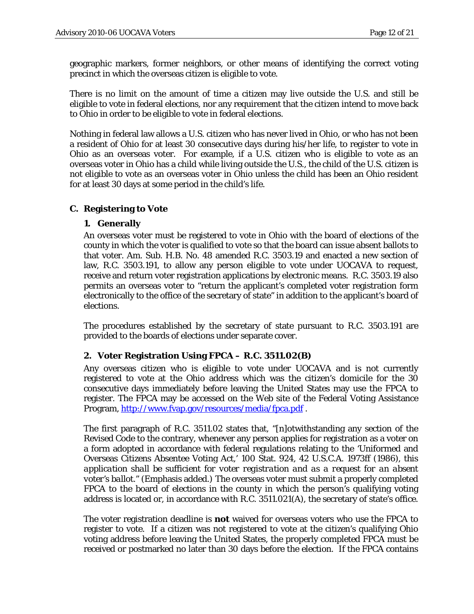geographic markers, former neighbors, or other means of identifying the correct voting precinct in which the overseas citizen is eligible to vote.

There is no limit on the amount of time a citizen may live outside the U.S. and still be eligible to vote in federal elections, nor any requirement that the citizen intend to move back to Ohio in order to be eligible to vote in federal elections.

Nothing in federal law allows a U.S. citizen who has never lived in Ohio, or who has not been a resident of Ohio for at least 30 consecutive days during his/her life, to register to vote in Ohio as an overseas voter. For example, if a U.S. citizen who is eligible to vote as an overseas voter in Ohio has a child while living outside the U.S., the child of the U.S. citizen is not eligible to vote as an overseas voter in Ohio unless the child has been an Ohio resident for at least 30 days at some period in the child's life.

### **C. Registering to Vote**

#### **1. Generally**

An overseas voter must be registered to vote in Ohio with the board of elections of the county in which the voter is qualified to vote so that the board can issue absent ballots to that voter. Am. Sub. H.B. No. 48 amended R.C. 3503.19 and enacted a new section of law, R.C. 3503.191, to allow any person eligible to vote under UOCAVA to request, receive and return voter registration applications by electronic means. R.C. 3503.19 also permits an overseas voter to "return the applicant's completed voter registration form electronically to the office of the secretary of state" in addition to the applicant's board of elections.

The procedures established by the secretary of state pursuant to R.C. 3503.191 are provided to the boards of elections under separate cover.

#### **2. Voter Registration Using FPCA – R.C. 3511.02(B)**

Any overseas citizen who is eligible to vote under UOCAVA and is not currently registered to vote at the Ohio address which was the citizen's domicile for the 30 consecutive days immediately before leaving the United States may use the FPCA to register. The FPCA may be accessed on the Web site of the Federal Voting Assistance Program,<http://www.fvap.gov/resources/media/fpca.pdf>.

The first paragraph of R.C. 3511.02 states that, "[n]otwithstanding any section of the Revised Code to the contrary, whenever any person applies for registration as a voter on a form adopted in accordance with federal regulations relating to the 'Uniformed and Overseas Citizens Absentee Voting Act,' 100 Stat. 924, 42 U.S.C.A. 1973ff (1986), *this application shall be sufficient for voter registration and as a request for an absent voter's ballot*." (Emphasis added.) The overseas voter must submit a properly completed FPCA to the board of elections in the county in which the person's qualifying voting address is located or, in accordance with R.C. 3511.021(A), the secretary of state's office.

The voter registration deadline is **not** waived for overseas voters who use the FPCA to register to vote. If a citizen was not registered to vote at the citizen's qualifying Ohio voting address before leaving the United States, the properly completed FPCA must be received or postmarked no later than 30 days before the election. If the FPCA contains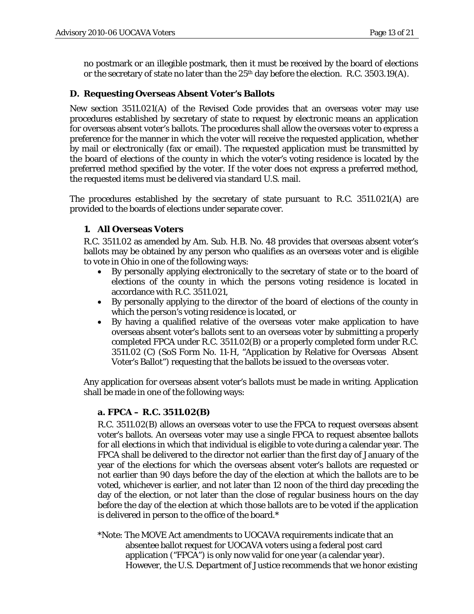no postmark or an illegible postmark, then it must be received by the board of elections or the secretary of state no later than the  $25<sup>th</sup>$  day before the election. R.C. 3503.19(A).

### **D. Requesting Overseas Absent Voter's Ballots**

New section 3511.021(A) of the Revised Code provides that an overseas voter may use procedures established by secretary of state to request by electronic means an application for overseas absent voter's ballots. The procedures shall allow the overseas voter to express a preference for the manner in which the voter will receive the requested application, whether by mail or electronically (fax or email). The requested application must be transmitted by the board of elections of the county in which the voter's voting residence is located by the preferred method specified by the voter. If the voter does not express a preferred method, the requested items must be delivered via standard U.S. mail.

The procedures established by the secretary of state pursuant to R.C. 3511.021(A) are provided to the boards of elections under separate cover.

### **1. All Overseas Voters**

R.C. 3511.02 as amended by Am. Sub. H.B. No. 48 provides that overseas absent voter's ballots may be obtained by any person who qualifies as an overseas voter and is eligible to vote in Ohio in one of the following ways:

- By personally applying electronically to the secretary of state or to the board of elections of the county in which the persons voting residence is located in accordance with R.C. 3511.021,
- By personally applying to the director of the board of elections of the county in which the person's voting residence is located, or
- By having a qualified relative of the overseas voter make application to have overseas absent voter's ballots sent to an overseas voter by submitting a properly completed FPCA under R.C. 3511.02(B) or a properly completed form under R.C. 3511.02 (C) (SoS Form No. 11-H, "Application by Relative for Overseas Absent Voter's Ballot") requesting that the ballots be issued to the overseas voter.

Any application for overseas absent voter's ballots must be made in writing. Application shall be made in one of the following ways:

#### **a. FPCA – R.C. 3511.02(B)**

R.C. 3511.02(B) allows an overseas voter to use the FPCA to request overseas absent voter's ballots. An overseas voter may use a single FPCA to request absentee ballots for all elections in which that individual is eligible to vote during a calendar year. The FPCA shall be delivered to the director not earlier than the first day of January of the year of the elections for which the overseas absent voter's ballots are requested or not earlier than 90 days before the day of the election at which the ballots are to be voted, whichever is earlier, and not later than 12 noon of the third day preceding the day of the election, or not later than the close of regular business hours on the day before the day of the election at which those ballots are to be voted if the application is delivered in person to the office of the board.\*

\*Note: The MOVE Act amendments to UOCAVA requirements indicate that an absentee ballot request for UOCAVA voters using a federal post card application ("FPCA") is only now valid for one year (a calendar year). However, the U.S. Department of Justice recommends that we honor existing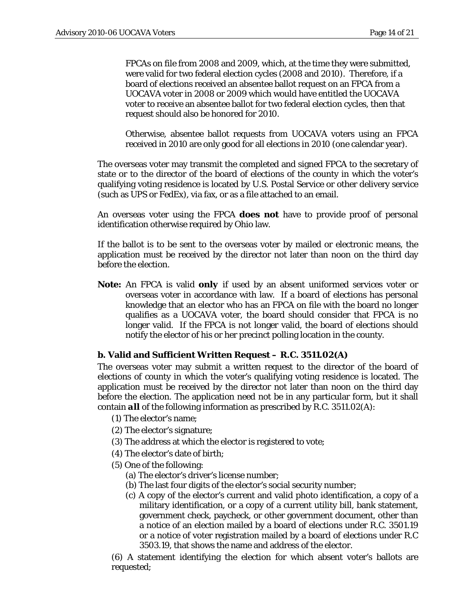FPCAs on file from 2008 and 2009, which, at the time they were submitted, were valid for two federal election cycles (2008 and 2010). Therefore, if a board of elections received an absentee ballot request on an FPCA from a UOCAVA voter in 2008 or 2009 which would have entitled the UOCAVA voter to receive an absentee ballot for two federal election cycles, then that request should also be honored for 2010.

Otherwise, absentee ballot requests from UOCAVA voters using an FPCA received in 2010 are only good for all elections in 2010 (one calendar year).

The overseas voter may transmit the completed and signed FPCA to the secretary of state or to the director of the board of elections of the county in which the voter's qualifying voting residence is located by U.S. Postal Service or other delivery service (such as UPS or FedEx), via fax, or as a file attached to an email.

An overseas voter using the FPCA **does not** have to provide proof of personal identification otherwise required by Ohio law.

If the ballot is to be sent to the overseas voter by mailed or electronic means, the application must be received by the director not later than noon on the third day before the election.

**Note:** An FPCA is valid *only* if used by an absent uniformed services voter or overseas voter in accordance with law. If a board of elections has personal knowledge that an elector who has an FPCA on file with the board no longer qualifies as a UOCAVA voter, the board should consider that FPCA is no longer valid. If the FPCA is not longer valid, the board of elections should notify the elector of his or her precinct polling location in the county.

#### **b. Valid and Sufficient Written Request – R.C. 3511.02(A)**

The overseas voter may submit a written request to the director of the board of elections of county in which the voter's qualifying voting residence is located. The application must be received by the director not later than noon on the third day before the election. The application need not be in any particular form, but it shall contain *all* of the following information as prescribed by R.C. 3511.02(A):

- (1) The elector's name;
- (2) The elector's signature;
- (3) The address at which the elector is registered to vote;
- (4) The elector's date of birth;
- (5) One of the following:
	- (a) The elector's driver's license number;
	- (b) The last four digits of the elector's social security number;
	- (c) A copy of the elector's current and valid photo identification, a copy of a military identification, or a copy of a current utility bill, bank statement, government check, paycheck, or other government document, other than a notice of an election mailed by a board of elections under R.C. 3501.19 or a notice of voter registration mailed by a board of elections under R.C 3503.19, that shows the name and address of the elector.

(6) A statement identifying the election for which absent voter's ballots are requested;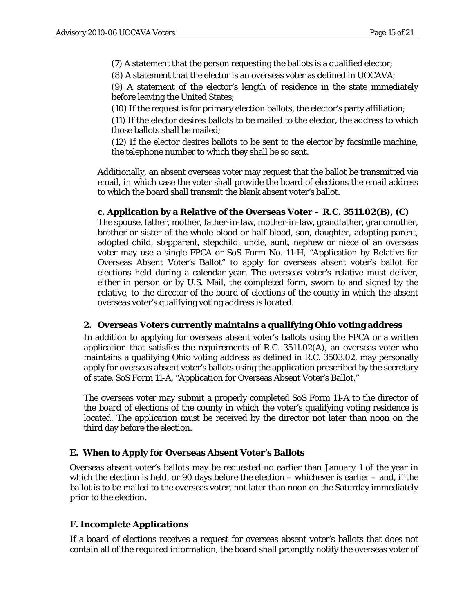(7) A statement that the person requesting the ballots is a qualified elector;

(8) A statement that the elector is an overseas voter as defined in UOCAVA;

(9) A statement of the elector's length of residence in the state immediately before leaving the United States;

(10) If the request is for primary election ballots, the elector's party affiliation;

(11) If the elector desires ballots to be mailed to the elector, the address to which those ballots shall be mailed;

(12) If the elector desires ballots to be sent to the elector by facsimile machine, the telephone number to which they shall be so sent.

Additionally, an absent overseas voter may request that the ballot be transmitted via email, in which case the voter shall provide the board of elections the email address to which the board shall transmit the blank absent voter's ballot.

**c. Application by a Relative of the Overseas Voter – R.C. 3511.02(B), (C)** 

The spouse, father, mother, father-in-law, mother-in-law, grandfather, grandmother, brother or sister of the whole blood or half blood, son, daughter, adopting parent, adopted child, stepparent, stepchild, uncle, aunt, nephew or niece of an overseas voter may use a single FPCA or SoS Form No. 11-H, "Application by Relative for Overseas Absent Voter's Ballot" to apply for overseas absent voter's ballot for elections held during a calendar year. The overseas voter's relative must deliver, either in person or by U.S. Mail, the completed form, sworn to and signed by the relative, to the director of the board of elections of the county in which the absent overseas voter's qualifying voting address is located.

#### **2. Overseas Voters currently maintains a qualifying Ohio voting address**

In addition to applying for overseas absent voter's ballots using the FPCA or a written application that satisfies the requirements of R.C. 3511.02(A), an overseas voter who maintains a qualifying Ohio voting address as defined in R.C. 3503.02, may personally apply for overseas absent voter's ballots using the application prescribed by the secretary of state, SoS Form 11-A, "Application for Overseas Absent Voter's Ballot."

The overseas voter may submit a properly completed SoS Form 11-A to the director of the board of elections of the county in which the voter's qualifying voting residence is located. The application must be received by the director not later than noon on the third day before the election.

### **E. When to Apply for Overseas Absent Voter's Ballots**

Overseas absent voter's ballots may be requested no earlier than January 1 of the year in which the election is held, or 90 days before the election – whichever is earlier – and, if the ballot is to be mailed to the overseas voter, not later than noon on the Saturday immediately prior to the election.

#### **F. Incomplete Applications**

If a board of elections receives a request for overseas absent voter's ballots that does not contain all of the required information, the board shall promptly notify the overseas voter of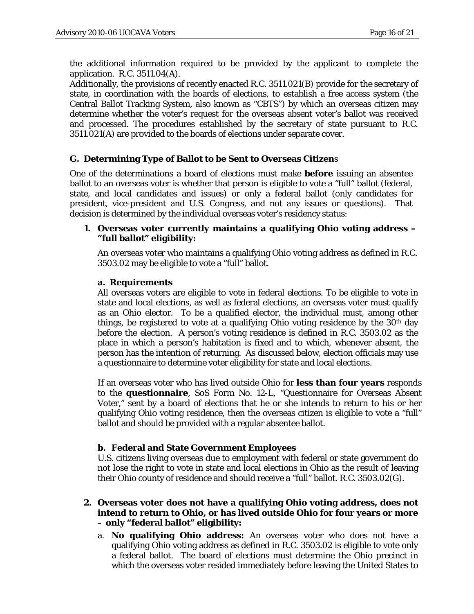the additional information required to be provided by the applicant to complete the application. R.C. 3511.04(A).

Additionally, the provisions of recently enacted R.C. 3511.021(B) provide for the secretary of state, in coordination with the boards of elections, to establish a free access system (the Central Ballot Tracking System, also known as "CBTS") by which an overseas citizen may determine whether the voter's request for the overseas absent voter's ballot was received and processed. The procedures established by the secretary of state pursuant to R.C. 3511.021(A) are provided to the boards of elections under separate cover.

## **G. Determining Type of Ballot to be Sent to Overseas Citizen**s

One of the determinations a board of elections must make **before** issuing an absentee ballot to an overseas voter is whether that person is eligible to vote a "full" ballot (federal, state, and local candidates and issues) or only a federal ballot (only candidates for president, vice-president and U.S. Congress, and not any issues or questions). That decision is determined by the individual overseas voter's residency status:

#### **1. Overseas voter currently maintains a qualifying Ohio voting address – "full ballot" eligibility:**

An overseas voter who maintains a qualifying Ohio voting address as defined in R.C. 3503.02 may be eligible to vote a "full" ballot.

#### **a. Requirements**

All overseas voters are eligible to vote in federal elections. To be eligible to vote in state and local elections, as well as federal elections, an overseas voter must qualify as an Ohio elector. To be a qualified elector, the individual must, among other things, be registered to vote at a qualifying Ohio voting residence by the  $30<sup>th</sup>$  day before the election. A person's voting residence is defined in R.C. 3503.02 as the place in which a person's habitation is fixed and to which, whenever absent, the person has the intention of returning. As discussed below, election officials may use a questionnaire to determine voter eligibility for state and local elections.

If an overseas voter who has lived outside Ohio for **less than four years** responds to the **questionnaire**, SoS Form No. 12-L, "Questionnaire for Overseas Absent Voter," sent by a board of elections that he or she intends to return to his or her qualifying Ohio voting residence, then the overseas citizen is eligible to vote a "full" ballot and should be provided with a regular absentee ballot.

#### **b. Federal and State Government Employees**

U.S. citizens living overseas due to employment with federal or state government do not lose the right to vote in state and local elections in Ohio as the result of leaving their Ohio county of residence and should receive a "full" ballot. R.C. 3503.02(G).

#### **2. Overseas voter does not have a qualifying Ohio voting address, does not intend to return to Ohio, or has lived outside Ohio for four years or more – only "federal ballot" eligibility:**

a. **No qualifying Ohio address:** An overseas voter who does not have a qualifying Ohio voting address as defined in R.C. 3503.02 is eligible to vote only a federal ballot. The board of elections must determine the Ohio precinct in which the overseas voter resided immediately before leaving the United States to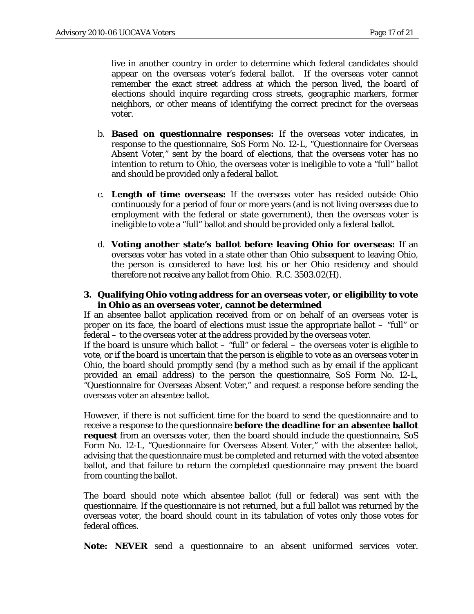live in another country in order to determine which federal candidates should appear on the overseas voter's federal ballot. If the overseas voter cannot remember the exact street address at which the person lived, the board of elections should inquire regarding cross streets, geographic markers, former neighbors, or other means of identifying the correct precinct for the overseas voter.

- b. **Based on questionnaire responses:** If the overseas voter indicates, in response to the questionnaire, SoS Form No. 12-L, "Questionnaire for Overseas Absent Voter," sent by the board of elections, that the overseas voter has no intention to return to Ohio, the overseas voter is ineligible to vote a "full" ballot and should be provided only a federal ballot.
- c. **Length of time overseas:** If the overseas voter has resided outside Ohio continuously for a period of four or more years (and is not living overseas due to employment with the federal or state government), then the overseas voter is ineligible to vote a "full" ballot and should be provided only a federal ballot.
- d. **Voting another state's ballot before leaving Ohio for overseas:** If an overseas voter has voted in a state other than Ohio subsequent to leaving Ohio, the person is considered to have lost his or her Ohio residency and should therefore not receive any ballot from Ohio. R.C. 3503.02(H).
- **3. Qualifying Ohio voting address for an overseas voter, or eligibility to vote in Ohio as an overseas voter, cannot be determined**

If an absentee ballot application received from or on behalf of an overseas voter is proper on its face, the board of elections must issue the appropriate ballot – "full" or federal – to the overseas voter at the address provided by the overseas voter.

If the board is unsure which ballot – "full" or federal – the overseas voter is eligible to vote, or if the board is uncertain that the person is eligible to vote as an overseas voter in Ohio, the board should promptly send (by a method such as by email if the applicant provided an email address) to the person the questionnaire, SoS Form No. 12-L, "Questionnaire for Overseas Absent Voter," and request a response before sending the overseas voter an absentee ballot.

However, if there is not sufficient time for the board to send the questionnaire and to receive a response to the questionnaire **before the deadline for an absentee ballot request** from an overseas voter, then the board should include the questionnaire, SoS Form No. 12-L, "Questionnaire for Overseas Absent Voter," with the absentee ballot, advising that the questionnaire must be completed and returned with the voted absentee ballot, and that failure to return the completed questionnaire may prevent the board from counting the ballot.

The board should note which absentee ballot (full or federal) was sent with the questionnaire. If the questionnaire is not returned, but a full ballot was returned by the overseas voter, the board should count in its tabulation of votes only those votes for federal offices.

**Note:** *NEVER* send a questionnaire to an absent uniformed services voter.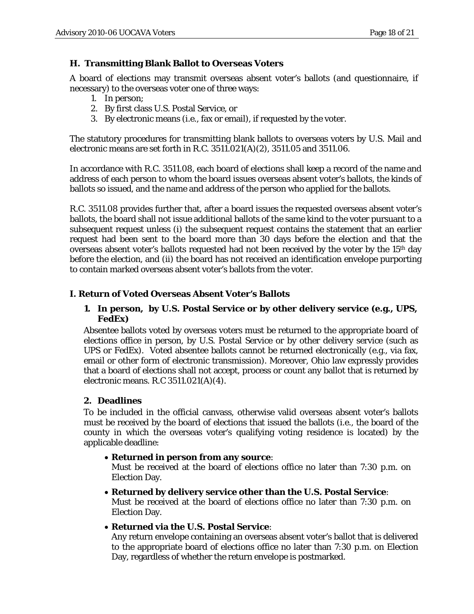## **H. Transmitting Blank Ballot to Overseas Voters**

A board of elections may transmit overseas absent voter's ballots (and questionnaire, if necessary) to the overseas voter one of three ways:

- 1. In person;
- 2. By first class U.S. Postal Service, or
- 3. By electronic means (i.e., fax or email), if requested by the voter.

The statutory procedures for transmitting blank ballots to overseas voters by U.S. Mail and electronic means are set forth in R.C. 3511.021(A)(2), 3511.05 and 3511.06.

In accordance with R.C. 3511.08, each board of elections shall keep a record of the name and address of each person to whom the board issues overseas absent voter's ballots, the kinds of ballots so issued, and the name and address of the person who applied for the ballots.

R.C. 3511.08 provides further that, after a board issues the requested overseas absent voter's ballots, the board shall not issue additional ballots of the same kind to the voter pursuant to a subsequent request *unless* (i) the subsequent request contains the statement that an earlier request had been sent to the board more than 30 days before the election and that the overseas absent voter's ballots requested had not been received by the voter by the 15<sup>th</sup> day before the election, and (ii) the board has not received an identification envelope purporting to contain marked overseas absent voter's ballots from the voter.

### **I. Return of Voted Overseas Absent Voter's Ballots**

### **1. In person, by U.S. Postal Service or by other delivery service (e.g., UPS, FedEx)**

Absentee ballots voted by overseas voters must be returned to the appropriate board of elections office in person, by U.S. Postal Service or by other delivery service (such as UPS or FedEx). Voted absentee ballots cannot be returned electronically (e.g., via fax, email or other form of electronic transmission). Moreover, Ohio law expressly provides that a board of elections shall not accept, process or count any ballot that is returned by electronic means. R.C 3511.021(A)(4).

#### **2. Deadlines**

To be included in the official canvass, otherwise valid overseas absent voter's ballots must be received by the board of elections that issued the ballots (i.e., the board of the county in which the overseas voter's qualifying voting residence is located) by the applicable deadline:

#### • **Returned in person from any source**:

Must be received at the board of elections office no later than 7:30 p.m. on Election Day.

- **Returned by delivery service other than the U.S. Postal Service**: Must be received at the board of elections office no later than 7:30 p.m. on Election Day.
- **Returned via the U.S. Postal Service**:

Any return envelope containing an overseas absent voter's ballot that is delivered to the appropriate board of elections office no later than 7:30 p.m. on Election Day, regardless of whether the return envelope is postmarked.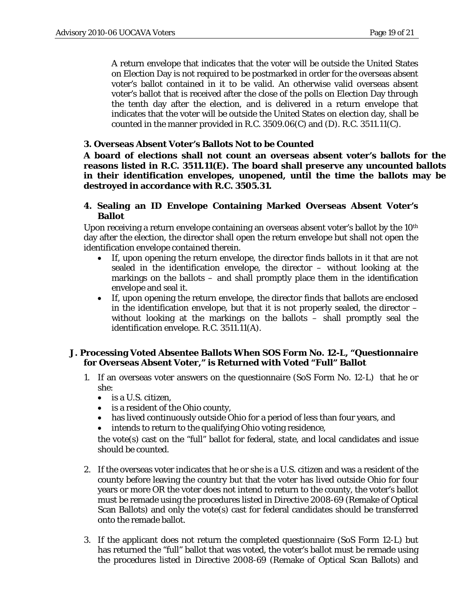A return envelope that indicates that the voter will be outside the United States on Election Day is not required to be postmarked in order for the overseas absent voter's ballot contained in it to be valid. An otherwise valid overseas absent voter's ballot that is received after the close of the polls on Election Day through the tenth day after the election, and is delivered in a return envelope that indicates that the voter will be outside the United States on election day, shall be counted in the manner provided in R.C. 3509.06(C) and (D). R.C. 3511.11(C).

#### **3. Overseas Absent Voter's Ballots Not to be Counted**

**A board of elections shall not count an overseas absent voter's ballots for the reasons listed in R.C. 3511.11(E). The board shall preserve any uncounted ballots in their identification envelopes, unopened, until the time the ballots may be destroyed in accordance with R.C. 3505.31.** 

#### **4. Sealing an ID Envelope Containing Marked Overseas Absent Voter's Ballot**

Upon receiving a return envelope containing an overseas absent voter's ballot by the  $10<sup>th</sup>$ day after the election, the director shall open the return envelope but shall not open the identification envelope contained therein.

- If, upon opening the return envelope, the director finds ballots in it that are not sealed in the identification envelope, the director – without looking at the markings on the ballots – and shall promptly place them in the identification envelope and seal it.
- If, upon opening the return envelope, the director finds that ballots are enclosed in the identification envelope, but that it is not properly sealed, the director  $$ without looking at the markings on the ballots – shall promptly seal the identification envelope. R.C. 3511.11(A).

#### **J. Processing Voted Absentee Ballots When SOS Form No. 12-L, "Questionnaire for Overseas Absent Voter," is Returned with Voted "Full" Ballot**

- 1. If an overseas voter answers on the questionnaire (SoS Form No. 12-L) that he or she:
	- is a U.S. citizen,
	- is a resident of the Ohio county,
	- has lived continuously outside Ohio for a period of less than four years, and
	- intends to return to the qualifying Ohio voting residence,

the vote(s) cast on the "full" ballot for federal, state, and local candidates and issue should be counted.

- 2. If the overseas voter indicates that he or she is a U.S. citizen and was a resident of the county before leaving the country but that the voter has lived outside Ohio for four years or more OR the voter does not intend to return to the county, the voter's ballot must be remade using the procedures listed in Directive 2008-69 (Remake of Optical Scan Ballots) and only the vote(s) cast for federal candidates should be transferred onto the remade ballot.
- 3. If the applicant does not return the completed questionnaire (SoS Form 12-L) but has returned the "full" ballot that was voted, the voter's ballot must be remade using the procedures listed in Directive 2008-69 (Remake of Optical Scan Ballots) and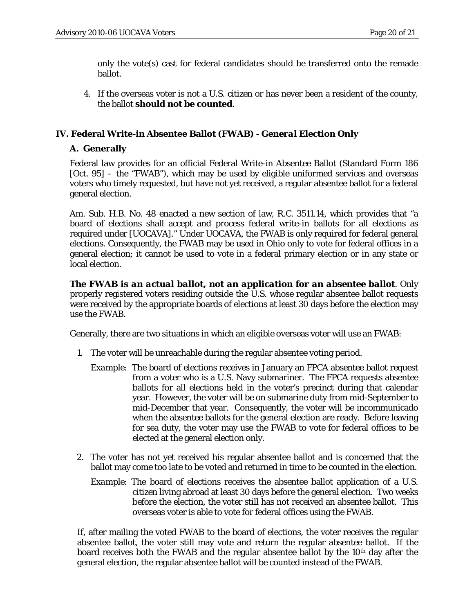only the vote(s) cast for federal candidates should be transferred onto the remade ballot.

4. If the overseas voter is not a U.S. citizen or has never been a resident of the county, the ballot **should not be counted**.

## **IV. Federal Write-in Absentee Ballot (***FWAB***) -** *General Election Only*

#### **A. Generally**

Federal law provides for an official Federal Write-in Absentee Ballot (Standard Form 186 [Oct. 95] – the "FWAB"), which may be used by eligible uniformed services and overseas voters who timely requested, but have not yet received, a regular absentee ballot for a federal general election.

Am. Sub. H.B. No. 48 enacted a new section of law, R.C. 3511.14, which provides that "a board of elections shall accept and process federal write-in ballots for all elections as required under [UOCAVA]." Under UOCAVA, the FWAB is only required for federal general elections. Consequently, the FWAB may be used in Ohio only to vote for federal offices in a general election; it cannot be used to vote in a federal primary election or in any state or local election.

*The FWAB is an actual ballot, not an application for an absentee ballot*. Only properly registered voters residing outside the U.S. whose regular absentee ballot requests were received by the appropriate boards of elections at least 30 days before the election may use the FWAB.

Generally, there are two situations in which an eligible overseas voter will use an FWAB:

- 1. The voter will be unreachable during the regular absentee voting period.
	- *Example*: The board of elections receives in January an FPCA absentee ballot request from a voter who is a U.S. Navy submariner. The FPCA requests absentee ballots for all elections held in the voter's precinct during that calendar year. However, the voter will be on submarine duty from mid-September to mid-December that year. Consequently, the voter will be incommunicado when the absentee ballots for the general election are ready. Before leaving for sea duty, the voter may use the FWAB to vote for federal offices to be elected at the general election only.
- 2. The voter has not yet received his regular absentee ballot and is concerned that the ballot may come too late to be voted and returned in time to be counted in the election.
	- *Example:* The board of elections receives the absentee ballot application of a U.S. citizen living abroad at least 30 days before the general election. Two weeks before the election, the voter still has not received an absentee ballot. This overseas voter is able to vote for federal offices using the FWAB.

If, after mailing the voted FWAB to the board of elections, the voter receives the regular absentee ballot, the voter still may vote and return the regular absentee ballot. If the board receives both the FWAB and the regular absentee ballot by the 10th day after the general election, the regular absentee ballot will be counted instead of the FWAB.